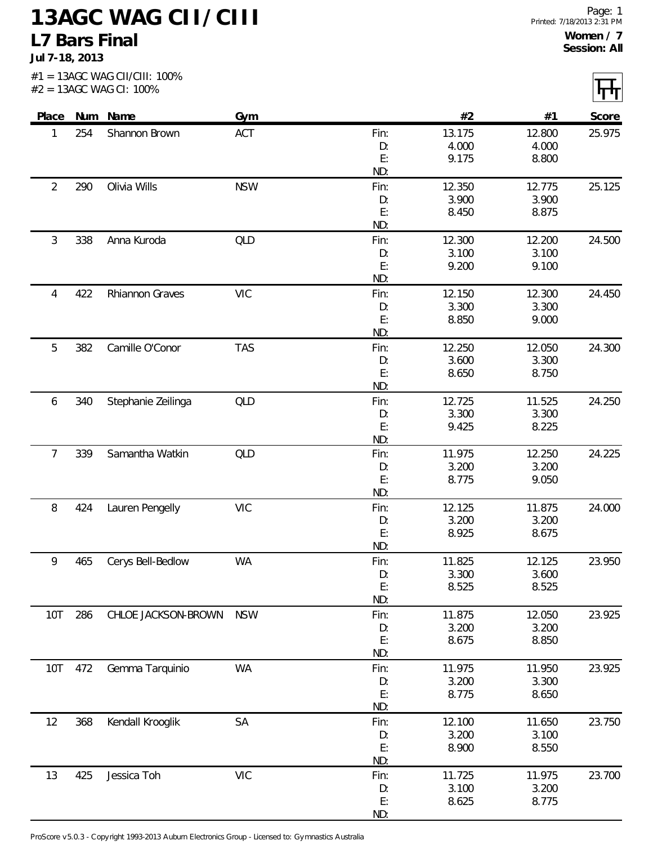**Jul 7-18, 2013**

| Place Num Name |     |                     | Gym        |            | #2              | #1              | Score  |
|----------------|-----|---------------------|------------|------------|-----------------|-----------------|--------|
| 1              | 254 | Shannon Brown       | ACT        | Fin:       | 13.175          | 12.800          | 25.975 |
|                |     |                     |            | D:         | 4.000           | 4.000           |        |
|                |     |                     |            | E:         | 9.175           | 8.800           |        |
|                |     |                     |            | ND:        |                 |                 |        |
| $\overline{2}$ | 290 | Olivia Wills        | <b>NSW</b> | Fin:       | 12.350          | 12.775          | 25.125 |
|                |     |                     |            | D:         | 3.900           | 3.900           |        |
|                |     |                     |            | E:         | 8.450           | 8.875           |        |
|                |     |                     |            | ND:        |                 |                 |        |
| 3              | 338 | Anna Kuroda         | QLD        | Fin:<br>D: | 12.300<br>3.100 | 12.200<br>3.100 | 24.500 |
|                |     |                     |            | E:         | 9.200           | 9.100           |        |
|                |     |                     |            | ND:        |                 |                 |        |
| 4              | 422 | Rhiannon Graves     | <b>VIC</b> | Fin:       | 12.150          | 12.300          | 24.450 |
|                |     |                     |            | D:         | 3.300           | 3.300           |        |
|                |     |                     |            | E:         | 8.850           | 9.000           |        |
|                |     |                     |            | ND:        |                 |                 |        |
| 5              | 382 | Camille O'Conor     | <b>TAS</b> | Fin:       | 12.250          | 12.050          | 24.300 |
|                |     |                     |            | D:         | 3.600           | 3.300           |        |
|                |     |                     |            | E:         | 8.650           | 8.750           |        |
|                |     |                     |            | ND:        |                 |                 |        |
| 6              | 340 | Stephanie Zeilinga  | QLD        | Fin:       | 12.725          | 11.525          | 24.250 |
|                |     |                     |            | D:<br>E:   | 3.300<br>9.425  | 3.300<br>8.225  |        |
|                |     |                     |            | ND:        |                 |                 |        |
| $\overline{7}$ | 339 | Samantha Watkin     | <b>QLD</b> | Fin:       | 11.975          | 12.250          | 24.225 |
|                |     |                     |            | D:         | 3.200           | 3.200           |        |
|                |     |                     |            | E:         | 8.775           | 9.050           |        |
|                |     |                     |            | ND:        |                 |                 |        |
| 8              | 424 | Lauren Pengelly     | <b>VIC</b> | Fin:       | 12.125          | 11.875          | 24.000 |
|                |     |                     |            | D:         | 3.200           | 3.200           |        |
|                |     |                     |            | E:         | 8.925           | 8.675           |        |
|                |     |                     |            | ND:        |                 |                 |        |
| 9              | 465 | Cerys Bell-Bedlow   | <b>WA</b>  | Fin:       | 11.825          | 12.125          | 23.950 |
|                |     |                     |            | D:<br>E:   | 3.300<br>8.525  | 3.600<br>8.525  |        |
|                |     |                     |            | ND:        |                 |                 |        |
| <b>10T</b>     | 286 | CHLOE JACKSON-BROWN | <b>NSW</b> | Fin:       | 11.875          | 12.050          | 23.925 |
|                |     |                     |            | D:         | 3.200           | 3.200           |        |
|                |     |                     |            | E:         | 8.675           | 8.850           |        |
|                |     |                     |            | ND:        |                 |                 |        |
| 10T            | 472 | Gemma Tarquinio     | <b>WA</b>  | Fin:       | 11.975          | 11.950          | 23.925 |
|                |     |                     |            | D:         | 3.200           | 3.300           |        |
|                |     |                     |            | E:         | 8.775           | 8.650           |        |
|                |     |                     |            | ND:        |                 |                 |        |
| 12             | 368 | Kendall Krooglik    | SA         | Fin:       | 12.100<br>3.200 | 11.650<br>3.100 | 23.750 |
|                |     |                     |            | D:<br>E:   | 8.900           | 8.550           |        |
|                |     |                     |            | ND:        |                 |                 |        |
| 13             | 425 | Jessica Toh         | <b>VIC</b> | Fin:       | 11.725          | 11.975          | 23.700 |
|                |     |                     |            | D:         | 3.100           | 3.200           |        |
|                |     |                     |            | E:         | 8.625           | 8.775           |        |

ND:

ProScore v5.0.3 - Copyright 1993-2013 Auburn Electronics Group - Licensed to: Gymnastics Australia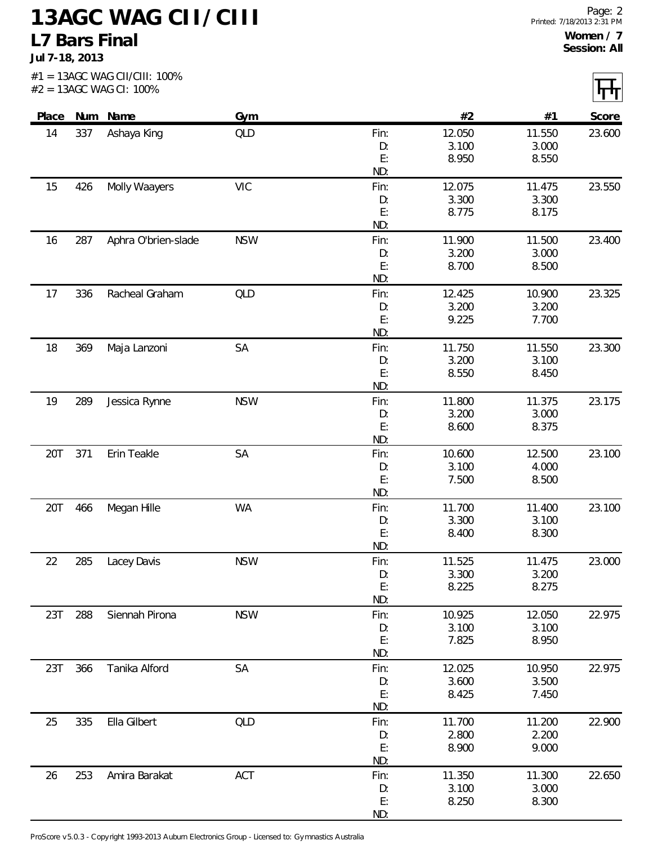**Jul 7-18, 2013**

| Place |     | Num Name            | Gym        |            | #2              | #1              | Score  |
|-------|-----|---------------------|------------|------------|-----------------|-----------------|--------|
| 14    | 337 | Ashaya King         | <b>QLD</b> | Fin:       | 12.050          | 11.550          | 23.600 |
|       |     |                     |            | D:         | 3.100           | 3.000           |        |
|       |     |                     |            | E:         | 8.950           | 8.550           |        |
|       |     |                     |            | ND:        |                 |                 |        |
| 15    | 426 | Molly Waayers       | <b>VIC</b> | Fin:       | 12.075          | 11.475          | 23.550 |
|       |     |                     |            | D:         | 3.300           | 3.300           |        |
|       |     |                     |            | E:<br>ND:  | 8.775           | 8.175           |        |
| 16    | 287 |                     | <b>NSW</b> | Fin:       | 11.900          | 11.500          | 23.400 |
|       |     | Aphra O'brien-slade |            | D:         | 3.200           | 3.000           |        |
|       |     |                     |            | E:         | 8.700           | 8.500           |        |
|       |     |                     |            | ND:        |                 |                 |        |
| 17    | 336 | Racheal Graham      | <b>QLD</b> | Fin:       | 12.425          | 10.900          | 23.325 |
|       |     |                     |            | D:         | 3.200           | 3.200           |        |
|       |     |                     |            | E:         | 9.225           | 7.700           |        |
|       |     |                     |            | ND:        |                 |                 |        |
| 18    | 369 | Maja Lanzoni        | SA         | Fin:       | 11.750          | 11.550          | 23.300 |
|       |     |                     |            | D:         | 3.200           | 3.100           |        |
|       |     |                     |            | E:         | 8.550           | 8.450           |        |
|       |     |                     |            | ND:        |                 |                 |        |
| 19    | 289 | Jessica Rynne       | <b>NSW</b> | Fin:       | 11.800<br>3.200 | 11.375<br>3.000 | 23.175 |
|       |     |                     |            | D:<br>E:   | 8.600           | 8.375           |        |
|       |     |                     |            | ND:        |                 |                 |        |
| 20T   | 371 | Erin Teakle         | SA         | Fin:       | 10.600          | 12.500          | 23.100 |
|       |     |                     |            | D:         | 3.100           | 4.000           |        |
|       |     |                     |            | E:         | 7.500           | 8.500           |        |
|       |     |                     |            | ND:        |                 |                 |        |
| 20T   | 466 | Megan Hille         | <b>WA</b>  | Fin:       | 11.700          | 11.400          | 23.100 |
|       |     |                     |            | D:         | 3.300           | 3.100           |        |
|       |     |                     |            | E:         | 8.400           | 8.300           |        |
|       |     |                     |            | ND:        |                 |                 |        |
| 22    | 285 | Lacey Davis         | <b>NSW</b> | Fin:       | 11.525          | 11.475          | 23.000 |
|       |     |                     |            | D:<br>E:   | 3.300           | 3.200           |        |
|       |     |                     |            | ND:        | 8.225           | 8.275           |        |
| 23T   | 288 | Siennah Pirona      | <b>NSW</b> | Fin:       | 10.925          | 12.050          | 22.975 |
|       |     |                     |            | D:         | 3.100           | 3.100           |        |
|       |     |                     |            | E:         | 7.825           | 8.950           |        |
|       |     |                     |            | ND:        |                 |                 |        |
| 23T   | 366 | Tanika Alford       | SA         | Fin:       | 12.025          | 10.950          | 22.975 |
|       |     |                     |            | D:         | 3.600           | 3.500           |        |
|       |     |                     |            | E:         | 8.425           | 7.450           |        |
|       |     |                     |            | ND:        |                 |                 |        |
| 25    | 335 | Ella Gilbert        | <b>QLD</b> | Fin:       | 11.700          | 11.200          | 22.900 |
|       |     |                     |            | D:         | 2.800           | 2.200           |        |
|       |     |                     |            | E:         | 8.900           | 9.000           |        |
|       |     |                     |            | ND:        |                 |                 |        |
| 26    | 253 | Amira Barakat       | ACT        | Fin:<br>D: | 11.350<br>3.100 | 11.300<br>3.000 | 22.650 |
|       |     |                     |            |            |                 |                 |        |

ND:

ProScore v5.0.3 - Copyright 1993-2013 Auburn Electronics Group - Licensed to: Gymnastics Australia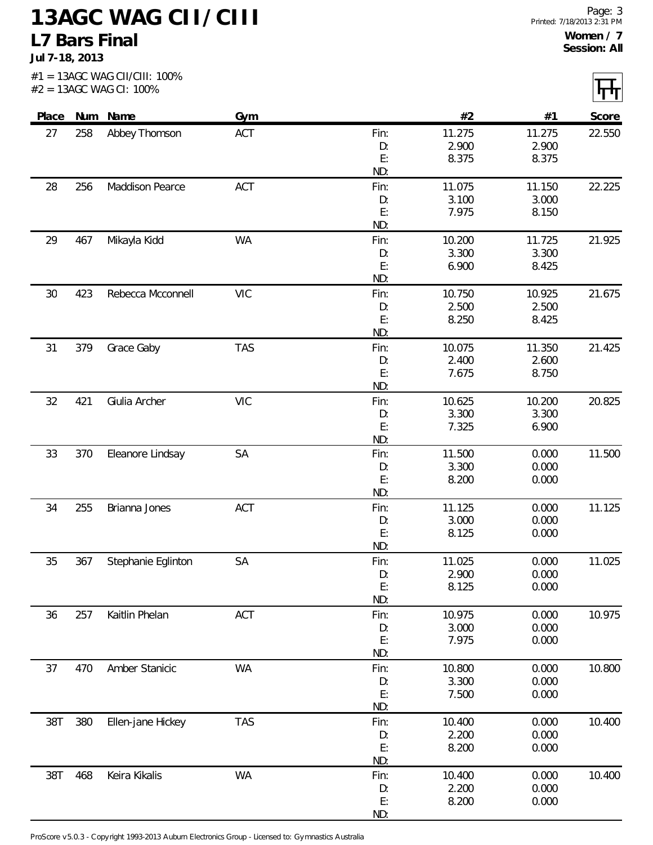**Jul 7-18, 2013**

| Place |     | Num Name           | Gym        |             | #2              | #1             | Score  |
|-------|-----|--------------------|------------|-------------|-----------------|----------------|--------|
| 27    | 258 | Abbey Thomson      | ACT        | Fin:        | 11.275          | 11.275         | 22.550 |
|       |     |                    |            | D:          | 2.900           | 2.900          |        |
|       |     |                    |            | E:          | 8.375           | 8.375          |        |
| 28    | 256 | Maddison Pearce    | <b>ACT</b> | ND:<br>Fin: | 11.075          | 11.150         | 22.225 |
|       |     |                    |            | D:          | 3.100           | 3.000          |        |
|       |     |                    |            | E:          | 7.975           | 8.150          |        |
|       |     |                    |            | ND:         |                 |                |        |
| 29    | 467 | Mikayla Kidd       | <b>WA</b>  | Fin:        | 10.200          | 11.725         | 21.925 |
|       |     |                    |            | D:          | 3.300           | 3.300          |        |
|       |     |                    |            | E:<br>ND:   | 6.900           | 8.425          |        |
| 30    | 423 | Rebecca Mcconnell  | <b>VIC</b> | Fin:        | 10.750          | 10.925         | 21.675 |
|       |     |                    |            | D:          | 2.500           | 2.500          |        |
|       |     |                    |            | E:          | 8.250           | 8.425          |        |
|       |     |                    |            | ND:         |                 |                |        |
| 31    | 379 | Grace Gaby         | <b>TAS</b> | Fin:        | 10.075          | 11.350         | 21.425 |
|       |     |                    |            | D:<br>E:    | 2.400           | 2.600          |        |
|       |     |                    |            | ND:         | 7.675           | 8.750          |        |
| 32    | 421 | Giulia Archer      | <b>VIC</b> | Fin:        | 10.625          | 10.200         | 20.825 |
|       |     |                    |            | D:          | 3.300           | 3.300          |        |
|       |     |                    |            | E:          | 7.325           | 6.900          |        |
|       |     |                    |            | ND:         |                 |                |        |
| 33    | 370 | Eleanore Lindsay   | SA         | Fin:        | 11.500          | 0.000          | 11.500 |
|       |     |                    |            | D:<br>E:    | 3.300<br>8.200  | 0.000<br>0.000 |        |
|       |     |                    |            | ND:         |                 |                |        |
| 34    | 255 | Brianna Jones      | ACT        | Fin:        | 11.125          | 0.000          | 11.125 |
|       |     |                    |            | D:          | 3.000           | 0.000          |        |
|       |     |                    |            | E:          | 8.125           | 0.000          |        |
|       |     |                    |            | ND:         |                 |                |        |
| 35    | 367 | Stephanie Eglinton | SA         | Fin:        | 11.025<br>2.900 | 0.000<br>0.000 | 11.025 |
|       |     |                    |            | D:<br>E:    | 8.125           | 0.000          |        |
|       |     |                    |            | ND:         |                 |                |        |
| 36    | 257 | Kaitlin Phelan     | <b>ACT</b> | Fin:        | 10.975          | 0.000          | 10.975 |
|       |     |                    |            | D:          | 3.000           | 0.000          |        |
|       |     |                    |            | E:<br>ND:   | 7.975           | 0.000          |        |
| 37    | 470 | Amber Stanicic     | <b>WA</b>  | Fin:        | 10.800          | 0.000          | 10.800 |
|       |     |                    |            | D:          | 3.300           | 0.000          |        |
|       |     |                    |            | E:          | 7.500           | 0.000          |        |
|       |     |                    |            | ND:         |                 |                |        |
| 38T   | 380 | Ellen-jane Hickey  | <b>TAS</b> | Fin:        | 10.400          | 0.000          | 10.400 |
|       |     |                    |            | D:          | 2.200           | 0.000          |        |
|       |     |                    |            | E:<br>ND:   | 8.200           | 0.000          |        |
| 38T   | 468 | Keira Kikalis      | <b>WA</b>  | Fin:        | 10.400          | 0.000          | 10.400 |
|       |     |                    |            | D:          | 2.200           | 0.000          |        |
|       |     |                    |            | E:          | 8.200           | 0.000          |        |
|       |     |                    |            | ND:         |                 |                |        |

ProScore v5.0.3 - Copyright 1993-2013 Auburn Electronics Group - Licensed to: Gymnastics Australia